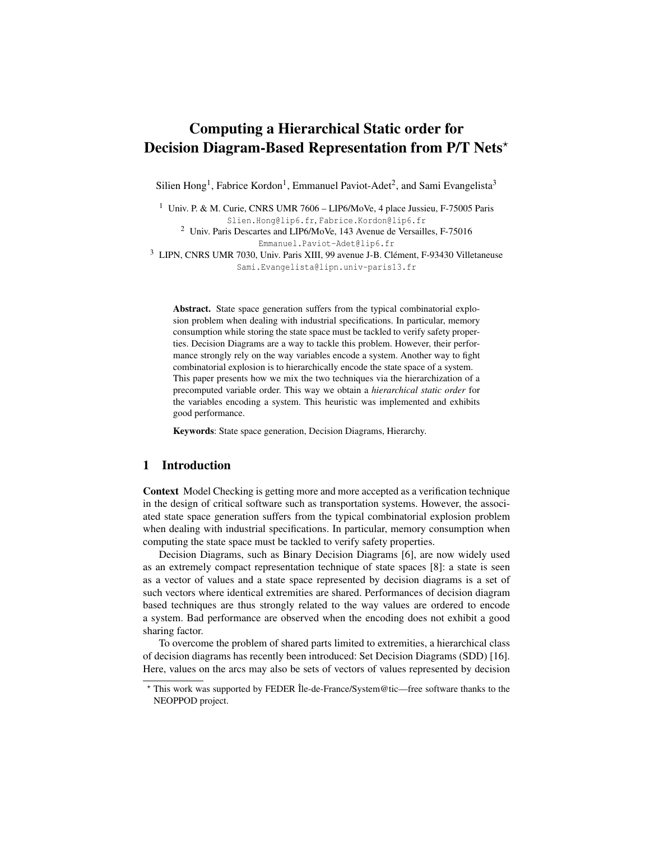# Computing a Hierarchical Static order for Decision Diagram-Based Representation from P/T Nets<sup>\*</sup>

Silien Hong<sup>1</sup>, Fabrice Kordon<sup>1</sup>, Emmanuel Paviot-Adet<sup>2</sup>, and Sami Evangelista<sup>3</sup>

<sup>1</sup> Univ. P. & M. Curie, CNRS UMR 7606 – LIP6/MoVe, 4 place Jussieu, F-75005 Paris Slien.Hong@lip6.fr, Fabrice.Kordon@lip6.fr

<sup>2</sup> Univ. Paris Descartes and LIP6/MoVe, 143 Avenue de Versailles, F-75016 Emmanuel.Paviot-Adet@lip6.fr

<sup>3</sup> LIPN, CNRS UMR 7030, Univ. Paris XIII, 99 avenue J-B. Clément, F-93430 Villetaneuse Sami.Evangelista@lipn.univ-paris13.fr

Abstract. State space generation suffers from the typical combinatorial explosion problem when dealing with industrial specifications. In particular, memory consumption while storing the state space must be tackled to verify safety properties. Decision Diagrams are a way to tackle this problem. However, their performance strongly rely on the way variables encode a system. Another way to fight combinatorial explosion is to hierarchically encode the state space of a system. This paper presents how we mix the two techniques via the hierarchization of a precomputed variable order. This way we obtain a *hierarchical static order* for the variables encoding a system. This heuristic was implemented and exhibits good performance.

Keywords: State space generation, Decision Diagrams, Hierarchy.

# 1 Introduction

Context Model Checking is getting more and more accepted as a verification technique in the design of critical software such as transportation systems. However, the associated state space generation suffers from the typical combinatorial explosion problem when dealing with industrial specifications. In particular, memory consumption when computing the state space must be tackled to verify safety properties.

Decision Diagrams, such as Binary Decision Diagrams [6], are now widely used as an extremely compact representation technique of state spaces [8]: a state is seen as a vector of values and a state space represented by decision diagrams is a set of such vectors where identical extremities are shared. Performances of decision diagram based techniques are thus strongly related to the way values are ordered to encode a system. Bad performance are observed when the encoding does not exhibit a good sharing factor.

To overcome the problem of shared parts limited to extremities, a hierarchical class of decision diagrams has recently been introduced: Set Decision Diagrams (SDD) [16]. Here, values on the arcs may also be sets of vectors of values represented by decision

 $*$  This work was supported by FEDER Île-de-France/System@tic—free software thanks to the NEOPPOD project.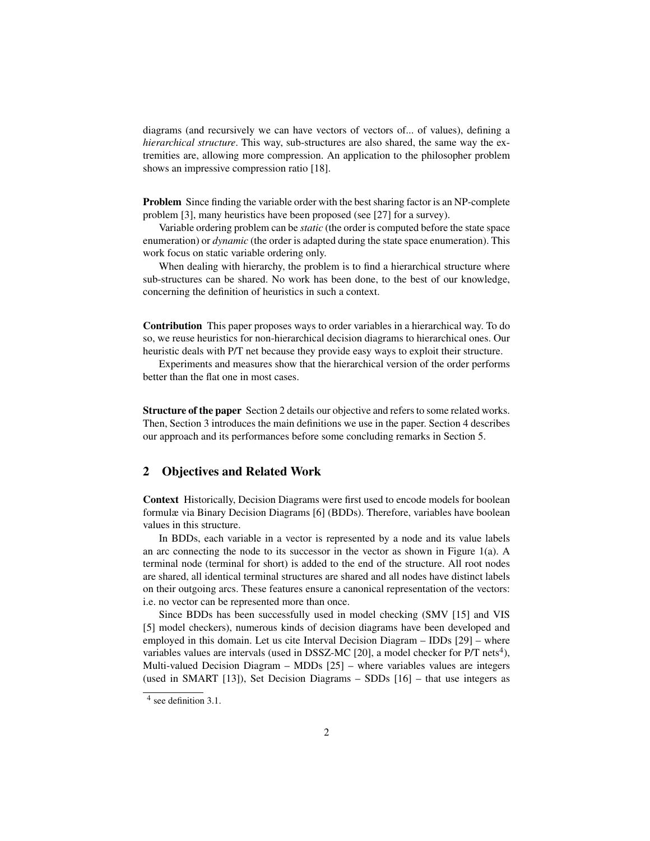diagrams (and recursively we can have vectors of vectors of... of values), defining a *hierarchical structure*. This way, sub-structures are also shared, the same way the extremities are, allowing more compression. An application to the philosopher problem shows an impressive compression ratio [18].

Problem Since finding the variable order with the best sharing factor is an NP-complete problem [3], many heuristics have been proposed (see [27] for a survey).

Variable ordering problem can be *static* (the order is computed before the state space enumeration) or *dynamic* (the order is adapted during the state space enumeration). This work focus on static variable ordering only.

When dealing with hierarchy, the problem is to find a hierarchical structure where sub-structures can be shared. No work has been done, to the best of our knowledge, concerning the definition of heuristics in such a context.

Contribution This paper proposes ways to order variables in a hierarchical way. To do so, we reuse heuristics for non-hierarchical decision diagrams to hierarchical ones. Our heuristic deals with P/T net because they provide easy ways to exploit their structure.

Experiments and measures show that the hierarchical version of the order performs better than the flat one in most cases.

Structure of the paper Section 2 details our objective and refers to some related works. Then, Section 3 introduces the main definitions we use in the paper. Section 4 describes our approach and its performances before some concluding remarks in Section 5.

# 2 Objectives and Related Work

Context Historically, Decision Diagrams were first used to encode models for boolean formulæ via Binary Decision Diagrams [6] (BDDs). Therefore, variables have boolean values in this structure.

In BDDs, each variable in a vector is represented by a node and its value labels an arc connecting the node to its successor in the vector as shown in Figure 1(a). A terminal node (terminal for short) is added to the end of the structure. All root nodes are shared, all identical terminal structures are shared and all nodes have distinct labels on their outgoing arcs. These features ensure a canonical representation of the vectors: i.e. no vector can be represented more than once.

Since BDDs has been successfully used in model checking (SMV [15] and VIS [5] model checkers), numerous kinds of decision diagrams have been developed and employed in this domain. Let us cite Interval Decision Diagram – IDDs [29] – where variables values are intervals (used in DSSZ-MC [20], a model checker for P/T nets<sup>4</sup>), Multi-valued Decision Diagram – MDDs [25] – where variables values are integers (used in SMART [13]), Set Decision Diagrams – SDDs [16] – that use integers as

<sup>4</sup> see definition 3.1.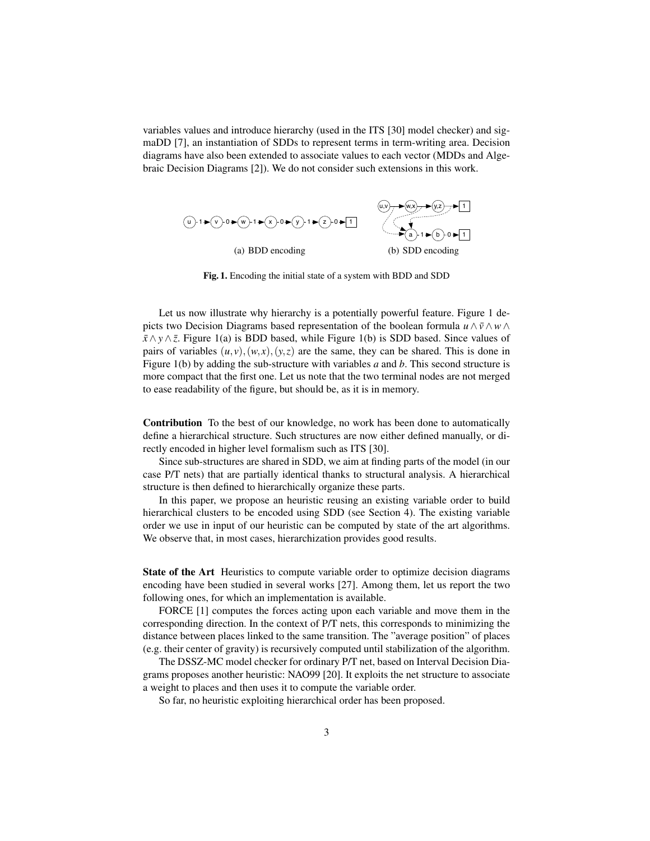variables values and introduce hierarchy (used in the ITS [30] model checker) and sigmaDD [7], an instantiation of SDDs to represent terms in term-writing area. Decision diagrams have also been extended to associate values to each vector (MDDs and Algebraic Decision Diagrams [2]). We do not consider such extensions in this work.



Fig. 1. Encoding the initial state of a system with BDD and SDD

Let us now illustrate why hierarchy is a potentially powerful feature. Figure 1 depicts two Decision Diagrams based representation of the boolean formula  $u \wedge \overline{v} \wedge w \wedge v$ *x*¯∧*y*∧*z*¯. Figure 1(a) is BDD based, while Figure 1(b) is SDD based. Since values of pairs of variables  $(u, v), (w, x), (y, z)$  are the same, they can be shared. This is done in Figure 1(b) by adding the sub-structure with variables *a* and *b*. This second structure is more compact that the first one. Let us note that the two terminal nodes are not merged to ease readability of the figure, but should be, as it is in memory.

Contribution To the best of our knowledge, no work has been done to automatically define a hierarchical structure. Such structures are now either defined manually, or directly encoded in higher level formalism such as ITS [30].

Since sub-structures are shared in SDD, we aim at finding parts of the model (in our case P/T nets) that are partially identical thanks to structural analysis. A hierarchical structure is then defined to hierarchically organize these parts.

In this paper, we propose an heuristic reusing an existing variable order to build hierarchical clusters to be encoded using SDD (see Section 4). The existing variable order we use in input of our heuristic can be computed by state of the art algorithms. We observe that, in most cases, hierarchization provides good results.

State of the Art Heuristics to compute variable order to optimize decision diagrams encoding have been studied in several works [27]. Among them, let us report the two following ones, for which an implementation is available.

FORCE [1] computes the forces acting upon each variable and move them in the corresponding direction. In the context of P/T nets, this corresponds to minimizing the distance between places linked to the same transition. The "average position" of places (e.g. their center of gravity) is recursively computed until stabilization of the algorithm.

The DSSZ-MC model checker for ordinary P/T net, based on Interval Decision Diagrams proposes another heuristic: NAO99 [20]. It exploits the net structure to associate a weight to places and then uses it to compute the variable order.

So far, no heuristic exploiting hierarchical order has been proposed.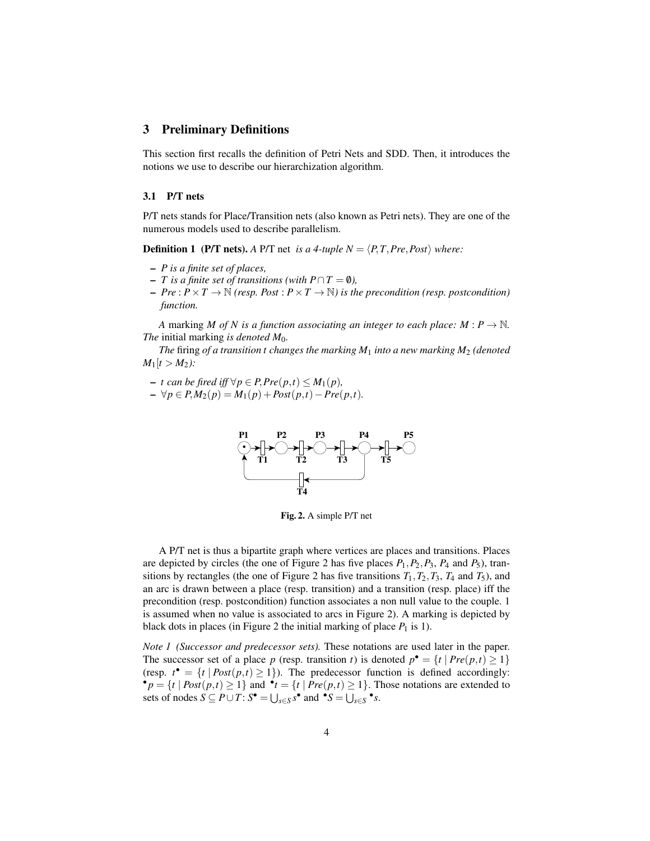# 3 Preliminary Definitions

This section first recalls the definition of Petri Nets and SDD. Then, it introduces the notions we use to describe our hierarchization algorithm.

#### 3.1 P/T nets

P/T nets stands for Place/Transition nets (also known as Petri nets). They are one of the numerous models used to describe parallelism.

**Definition 1** (P/T nets). A P/T net *is a 4-tuple N* =  $\langle P, T, Pre, Post \rangle$  *where:* 

- *P is a finite set of places,* •
- $\overline{P}$  *T* is a finite set of transitions (with  $P \cap T = ∅$ ),
- $Pre : P \times T \to \mathbb{N}$  *(resp. Post* :  $P \times T \to \mathbb{N}$ *) is the precondition (resp. postcondition) function.*

*A* marking *M* of *N* is a function associating an integer to each place:  $M : P \to \mathbb{N}$ . *The* initial marking *is denoted M*0*.*

*The firing of a transition t changes the marking*  $M_1$  *<i>into a new marking*  $M_2$  *(denoted*  $M_1[t > M_2):$ **P1**

- *t can be fired iff* ∀*p* ∈ *P*,*Pre*(*p*,*t*) ≤ *M*1(*p*)*,*
- $-Vp ∈ P, M_2(p) = M_1(p) + Post(p,t) Pre(p,t).$ **T4**



Fig. 2. A simple P/T net

A P/T net is thus a bipartite graph where vertices are places and transitions. Places are depicted by circles (the one of Figure 2 has five places *P*1,*P*2,*P*3, *P*<sup>4</sup> and *P*5), transitions by rectangles (the one of Figure 2 has five transitions  $T_1, T_2, T_3, T_4$  and  $T_5$ ), and an arc is drawn between a place (resp. transition) and a transition (resp. place) iff the precondition (resp. postcondition) function associates a non null value to the couple. 1 is assumed when no value is associated to arcs in Figure 2). A marking is depicted by black dots in places (in Figure 2 the initial marking of place  $P_1$  is 1).

*Note 1 (Successor and predecessor sets).* These notations are used later in the paper. The successor set of a place *p* (resp. transition *t*) is denoted  $p^{\bullet} = \{t \mid Pre(p, t) \geq 1\}$ (resp.  $t^{\bullet} = \{t \mid Post(p, t) \ge 1\}$ ). The predecessor function is defined accordingly:  $\bullet$   $p = \{t \mid Post(p, t) \ge 1\}$  and  $\bullet$   $t = \{t \mid Pre(p, t) \ge 1\}$ . Those notations are extended to sets of nodes  $S \subseteq P \cup T$ :  $S^{\bullet} = \bigcup_{s \in S} s^{\bullet}$  and  $^{\bullet}S = \bigcup_{s \in S} \bullet s$ .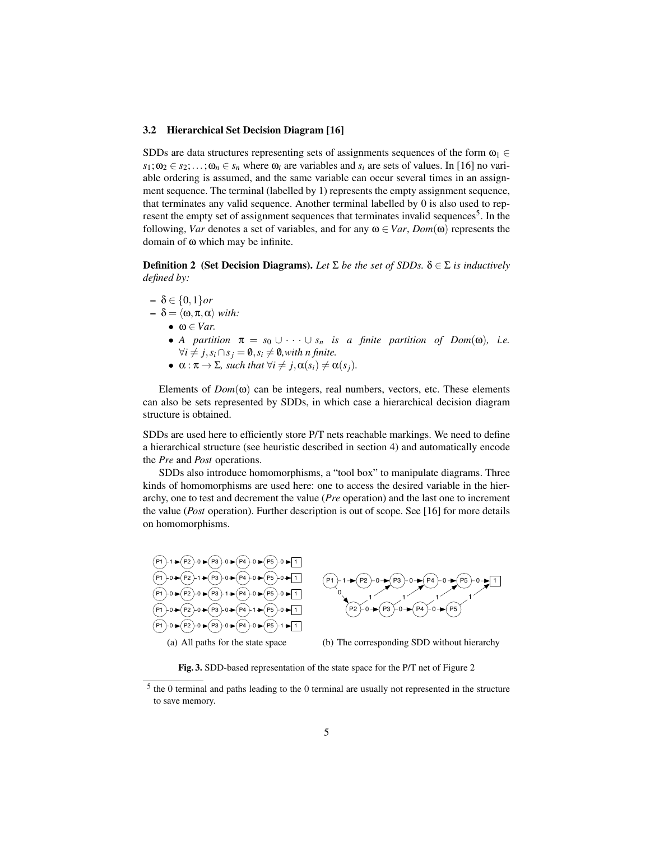#### 3.2 Hierarchical Set Decision Diagram [16]

SDDs are data structures representing sets of assignments sequences of the form  $\omega_1 \in$  $s_1; \omega_2 \in s_2; \ldots; \omega_n \in s_n$  where  $\omega_i$  are variables and  $s_i$  are sets of values. In [16] no variable ordering is assumed, and the same variable can occur several times in an assignment sequence. The terminal (labelled by 1) represents the empty assignment sequence, that terminates any valid sequence. Another terminal labelled by 0 is also used to represent the empty set of assignment sequences that terminates invalid sequences<sup>5</sup>. In the following, *Var* denotes a set of variables, and for any  $\omega \in Var$ , *Dom*( $\omega$ ) represents the domain of ω which may be infinite.

**Definition 2** (Set Decision Diagrams). Let Σ be the set of SDDs.  $\delta \in \Sigma$  is inductively *defined by:*

- $-\delta \in \{0,1\}$ *or*
- $\delta = \langle \omega, \pi, \alpha \rangle$  *with:* 
	- $\bullet \ \omega \in Var.$
	- *A partition*  $\pi = s_0 \cup \cdots \cup s_n$  *is a finite partition of Dom*( $\omega$ )*, i.e.*  $∀i ≠ j, s<sub>i</sub> ∩ s<sub>j</sub> = ∅, s<sub>i</sub> ≠ ∅, with n finite.$
	- $\alpha : \pi \to \Sigma$ , such that  $\forall i \neq j$ ,  $\alpha(s_i) \neq \alpha(s_j)$ .

Elements of  $Dom(\omega)$  can be integers, real numbers, vectors, etc. These elements can also be sets represented by SDDs, in which case a hierarchical decision diagram structure is obtained.

SDDs are used here to efficiently store P/T nets reachable markings. We need to define a hierarchical structure (see heuristic described in section 4) and automatically encode the *Pre* and *Post* operations.

SDDs also introduce homomorphisms, a "tool box" to manipulate diagrams. Three kinds of homomorphisms are used here: one to access the desired variable in the hierarchy, one to test and decrement the value (*Pre* operation) and the last one to increment the value (*Post* operation). Further description is out of scope. See [16] for more details on homomorphisms.



(a) All paths for the state space

(b) The corresponding SDD without hierarchy

Fig. 3. SDD-based representation of the state space for the P/T net of Figure 2

 $<sup>5</sup>$  the 0 terminal and paths leading to the 0 terminal are usually not represented in the structure</sup> to save memory.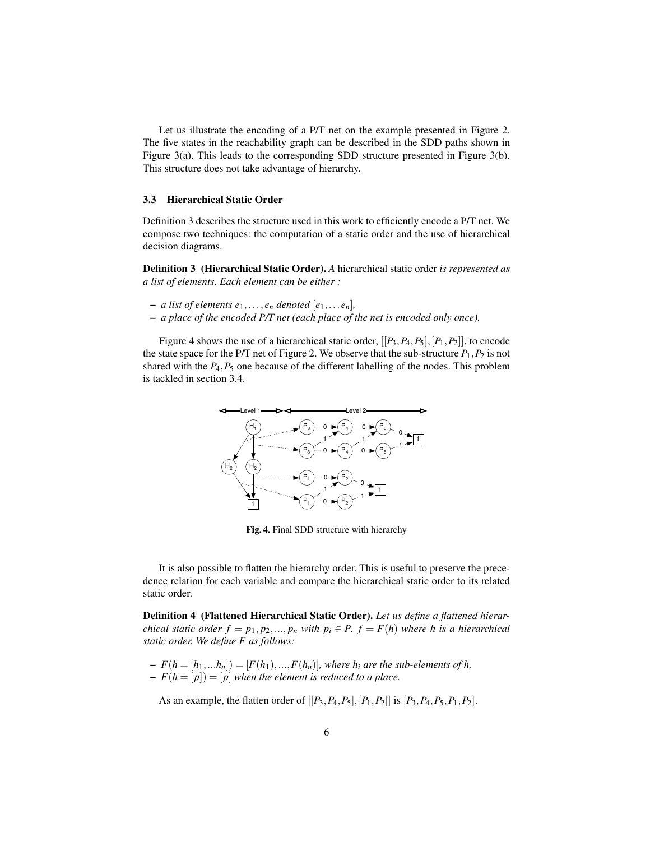Let us illustrate the encoding of a P/T net on the example presented in Figure 2. The five states in the reachability graph can be described in the SDD paths shown in Figure 3(a). This leads to the corresponding SDD structure presented in Figure 3(b). This structure does not take advantage of hierarchy.

#### 3.3 Hierarchical Static Order

Definition 3 describes the structure used in this work to efficiently encode a P/T net. We compose two techniques: the computation of a static order and the use of hierarchical decision diagrams.

Definition 3 (Hierarchical Static Order). *A* hierarchical static order *is represented as a list of elements. Each element can be either :*

- $-$  *a list of elements*  $e_1, \ldots, e_n$  *denoted*  $[e_1, \ldots, e_n]$ *,*
- *a place of the encoded P/T net (each place of the net is encoded only once).*

Figure 4 shows the use of a hierarchical static order,  $[[P_3, P_4, P_5], [P_1, P_2]]$ , to encode the state space for the P/T net of Figure 2. We observe that the sub-structure  $P_1$ ,  $P_2$  is not shared with the  $P_4$ ,  $P_5$  one because of the different labelling of the nodes. This problem is tackled in section 3.4.



Fig. 4. Final SDD structure with hierarchy

It is also possible to flatten the hierarchy order. This is useful to preserve the precedence relation for each variable and compare the hierarchical static order to its related static order.

Definition 4 (Flattened Hierarchical Static Order). *Let us define a flattened hierarchical static order*  $f = p_1, p_2, ..., p_n$  *with*  $p_i \in P$ *.*  $f = F(h)$  *where h is a hierarchical static order. We define F as follows:*

 $F(F) = F(h = [h_1, ... h_n]) = [F(h_1), ..., F(h_n)],$  where  $h_i$  are the sub-elements of h,  $- F(h = [p]) = [p]$  *when the element is reduced to a place.* 

As an example, the flatten order of  $[[P_3, P_4, P_5], [P_1, P_2]]$  is  $[P_3, P_4, P_5, P_1, P_2]$ .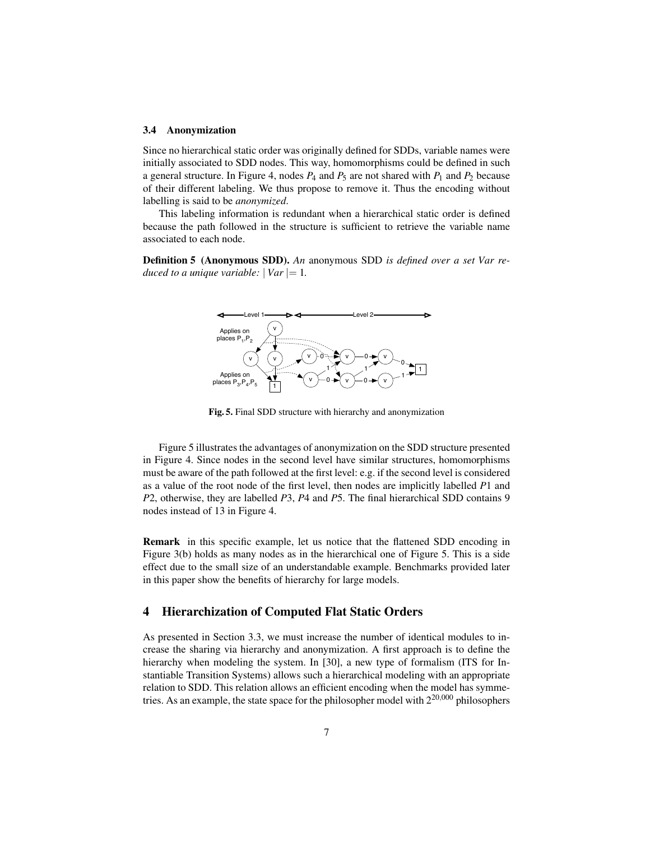#### 3.4 Anonymization

Since no hierarchical static order was originally defined for SDDs, variable names were initially associated to SDD nodes. This way, homomorphisms could be defined in such a general structure. In Figure 4, nodes  $P_4$  and  $P_5$  are not shared with  $P_1$  and  $P_2$  because of their different labeling. We thus propose to remove it. Thus the encoding without labelling is said to be *anonymized*.

This labeling information is redundant when a hierarchical static order is defined because the path followed in the structure is sufficient to retrieve the variable name associated to each node.

Definition 5 (Anonymous SDD). *An* anonymous SDD *is defined over a set Var reduced to a unique variable:*  $|Var| = 1$ .



Fig. 5. Final SDD structure with hierarchy and anonymization

Figure 5 illustrates the advantages of anonymization on the SDD structure presented in Figure 4. Since nodes in the second level have similar structures, homomorphisms must be aware of the path followed at the first level: e.g. if the second level is considered as a value of the root node of the first level, then nodes are implicitly labelled *P*1 and *P*2, otherwise, they are labelled *P*3, *P*4 and *P*5. The final hierarchical SDD contains 9 nodes instead of 13 in Figure 4.

Remark in this specific example, let us notice that the flattened SDD encoding in Figure 3(b) holds as many nodes as in the hierarchical one of Figure 5. This is a side effect due to the small size of an understandable example. Benchmarks provided later in this paper show the benefits of hierarchy for large models.

# 4 Hierarchization of Computed Flat Static Orders

As presented in Section 3.3, we must increase the number of identical modules to increase the sharing via hierarchy and anonymization. A first approach is to define the hierarchy when modeling the system. In [30], a new type of formalism (ITS for Instantiable Transition Systems) allows such a hierarchical modeling with an appropriate relation to SDD. This relation allows an efficient encoding when the model has symmetries. As an example, the state space for the philosopher model with  $2^{20,000}$  philosophers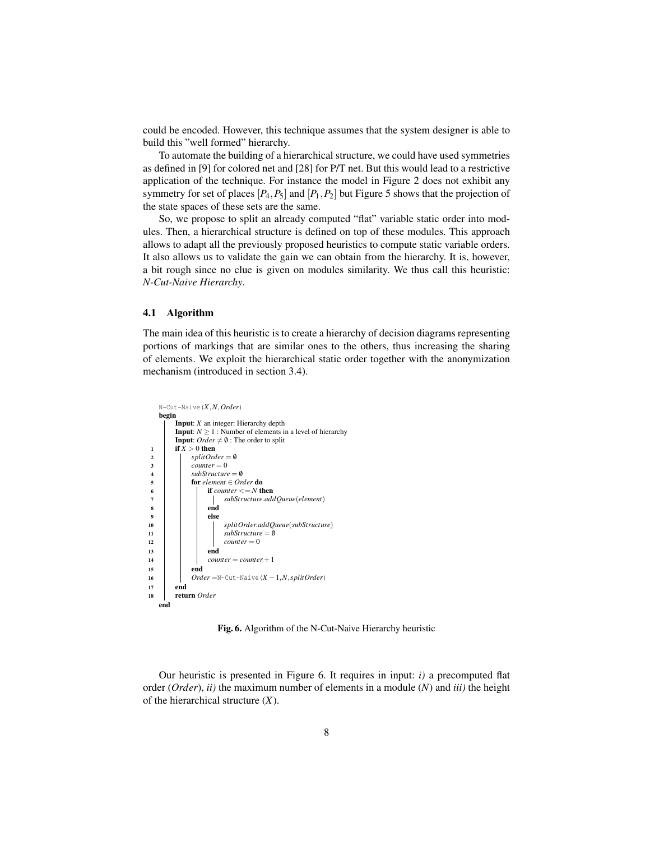could be encoded. However, this technique assumes that the system designer is able to build this "well formed" hierarchy.

To automate the building of a hierarchical structure, we could have used symmetries as defined in [9] for colored net and [28] for P/T net. But this would lead to a restrictive application of the technique. For instance the model in Figure 2 does not exhibit any symmetry for set of places  $[P_4, P_5]$  and  $[P_1, P_2]$  but Figure 5 shows that the projection of the state spaces of these sets are the same.

So, we propose to split an already computed "flat" variable static order into modules. Then, a hierarchical structure is defined on top of these modules. This approach allows to adapt all the previously proposed heuristics to compute static variable orders. It also allows us to validate the gain we can obtain from the hierarchy. It is, however, a bit rough since no clue is given on modules similarity. We thus call this heuristic: *N-Cut-Naive Hierarchy*.

#### 4.1 Algorithm

The main idea of this heuristic is to create a hierarchy of decision diagrams representing portions of markings that are similar ones to the others, thus increasing the sharing of elements. We exploit the hierarchical static order together with the anonymization mechanism (introduced in section 3.4).



Fig. 6. Algorithm of the N-Cut-Naive Hierarchy heuristic

Our heuristic is presented in Figure 6. It requires in input: *i)* a precomputed flat order (*Order*), *ii)* the maximum number of elements in a module (*N*) and *iii)* the height of the hierarchical structure (*X*).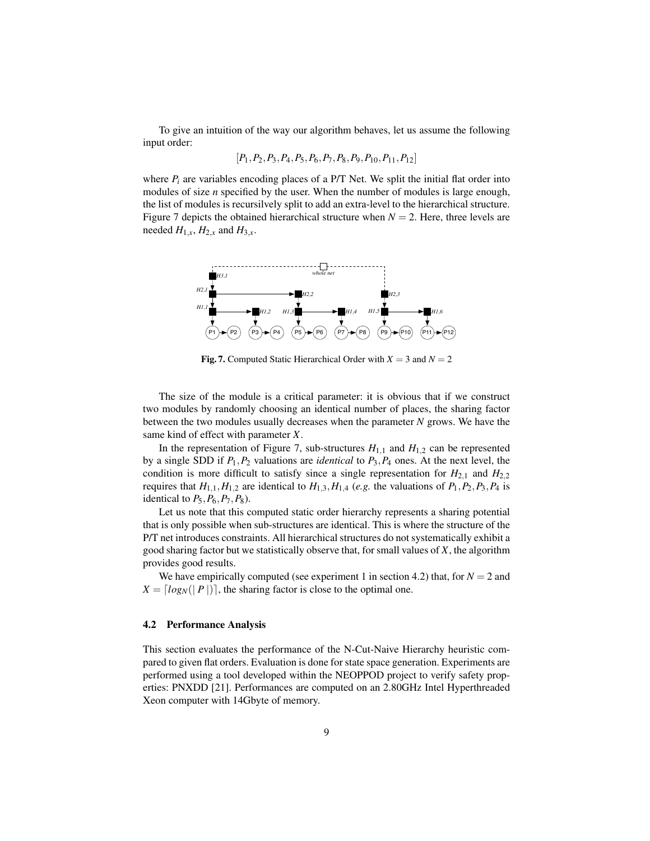To give an intuition of the way our algorithm behaves, let us assume the following input order:

$$
[P_1, P_2, P_3, P_4, P_5, P_6, P_7, P_8, P_9, P_{10}, P_{11}, P_{12}]
$$

where  $P_i$  are variables encoding places of a  $P/T$  Net. We split the initial flat order into modules of size *n* specified by the user. When the number of modules is large enough, the list of modules is recursilvely split to add an extra-level to the hierarchical structure. Figure 7 depicts the obtained hierarchical structure when  $N = 2$ . Here, three levels are needed  $H_{1,x}$ ,  $H_{2,x}$  and  $H_{3,x}$ .



**Fig. 7.** Computed Static Hierarchical Order with  $X = 3$  and  $N = 2$ 

The size of the module is a critical parameter: it is obvious that if we construct two modules by randomly choosing an identical number of places, the sharing factor between the two modules usually decreases when the parameter *N* grows. We have the same kind of effect with parameter *X*.

In the representation of Figure 7, sub-structures  $H_{1,1}$  and  $H_{1,2}$  can be represented by a single SDD if *P*1,*P*<sup>2</sup> valuations are *identical* to *P*3,*P*<sup>4</sup> ones. At the next level, the condition is more difficult to satisfy since a single representation for  $H_{2,1}$  and  $H_{2,2}$ requires that  $H_{1,1}$ ,  $H_{1,2}$  are identical to  $H_{1,3}$ ,  $H_{1,4}$  (*e.g.* the valuations of  $P_1$ ,  $P_2$ ,  $P_3$ ,  $P_4$  is identical to  $P_5$ ,  $P_6$ ,  $P_7$ ,  $P_8$ ).

Let us note that this computed static order hierarchy represents a sharing potential that is only possible when sub-structures are identical. This is where the structure of the P/T net introduces constraints. All hierarchical structures do not systematically exhibit a good sharing factor but we statistically observe that, for small values of *X*, the algorithm provides good results.

We have empirically computed (see experiment 1 in section 4.2) that, for  $N = 2$  and  $X = \lfloor log_N(\lfloor P \rfloor) \rfloor$ , the sharing factor is close to the optimal one.

#### 4.2 Performance Analysis

This section evaluates the performance of the N-Cut-Naive Hierarchy heuristic compared to given flat orders. Evaluation is done for state space generation. Experiments are performed using a tool developed within the NEOPPOD project to verify safety properties: PNXDD [21]. Performances are computed on an 2.80GHz Intel Hyperthreaded Xeon computer with 14Gbyte of memory.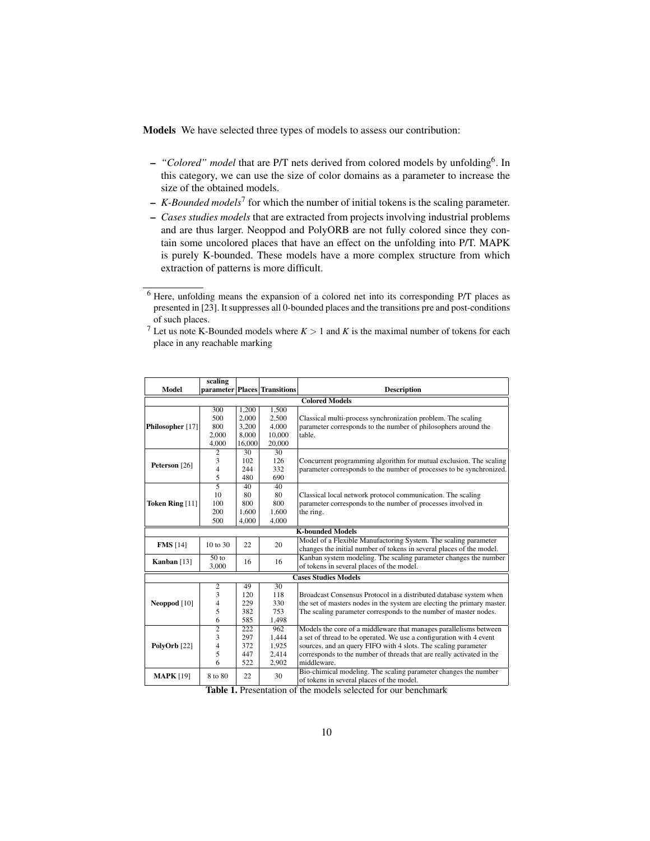Models We have selected three types of models to assess our contribution:

- "Colored" model that are P/T nets derived from colored models by unfolding<sup>6</sup>. In this category, we can use the size of color domains as a parameter to increase the size of the obtained models.
- *K-Bounded models*<sup>7</sup> for which the number of initial tokens is the scaling parameter.
- *Cases studies models* that are extracted from projects involving industrial problems and are thus larger. Neoppod and PolyORB are not fully colored since they contain some uncolored places that have an effect on the unfolding into P/T. MAPK is purely K-bounded. These models have a more complex structure from which extraction of patterns is more difficult.

<sup>&</sup>lt;sup>7</sup> Let us note K-Bounded models where  $K > 1$  and  $K$  is the maximal number of tokens for each place in any reachable marking

|                  | scaling             |                 |                                  |                                                                         |
|------------------|---------------------|-----------------|----------------------------------|-------------------------------------------------------------------------|
| Model            |                     |                 | parameter   Places   Transitions | <b>Description</b>                                                      |
|                  |                     |                 |                                  | <b>Colored Models</b>                                                   |
|                  | 300                 | 1,200           | 1,500                            |                                                                         |
|                  | 500                 | 2.000           | 2,500                            | Classical multi-process synchronization problem. The scaling            |
| Philosopher [17] | 800                 | 3,200           | 4,000                            | parameter corresponds to the number of philosophers around the          |
|                  | 2,000               | 8,000           | 10,000                           | table.                                                                  |
|                  | 4,000               | 16,000          | 20,000                           |                                                                         |
|                  | 2                   | $\overline{30}$ | $\overline{30}$                  |                                                                         |
| Peterson [26]    | 3                   | 102             | 126                              | Concurrent programming algorithm for mutual exclusion. The scaling      |
|                  | $\overline{4}$      | 244             | 332                              | parameter corresponds to the number of processes to be synchronized.    |
|                  | 5                   | 480             | 690                              |                                                                         |
|                  | $\overline{5}$      | 40              | 40                               |                                                                         |
|                  | 10                  | 80              | 80                               | Classical local network protocol communication. The scaling             |
| Token Ring [11]  | 100                 | 800             | 800                              | parameter corresponds to the number of processes involved in            |
|                  | 200                 | 1,600           | 1,600                            | the ring.                                                               |
|                  | 500                 | 4,000           | 4,000                            |                                                                         |
|                  |                     |                 |                                  | <b>K-bounded Models</b>                                                 |
| <b>FMS</b> [14]  | $10 \text{ to } 30$ | 22              | 20                               | Model of a Flexible Manufactoring System. The scaling parameter         |
|                  |                     |                 |                                  | changes the initial number of tokens in several places of the model.    |
| Kanban $[13]$    | 50 <sub>to</sub>    | 16              | 16                               | Kanban system modeling. The scaling parameter changes the number        |
|                  | 3.000               |                 |                                  | of tokens in several places of the model.                               |
|                  |                     |                 |                                  | <b>Cases Studies Models</b>                                             |
|                  | 2                   | 49              | $\overline{30}$                  |                                                                         |
|                  | 3                   | 120             | 118                              | Broadcast Consensus Protocol in a distributed database system when      |
| Neoppod [10]     | 4                   | 229             | 330                              | the set of masters nodes in the system are electing the primary master. |
|                  | 5                   | 382             | 753                              | The scaling parameter corresponds to the number of master nodes.        |
|                  | 6                   | 585             | 1,498                            |                                                                         |
|                  | $\overline{2}$      | 222             | 962                              | Models the core of a middleware that manages parallelisms between       |
|                  | 3                   | 297             | 1,444                            | a set of thread to be operated. We use a configuration with 4 event     |
| PolyOrb [22]     | 4                   | 372             | 1,925                            | sources, and an query FIFO with 4 slots. The scaling parameter          |
|                  | 5                   | 447             | 2,414                            | corresponds to the number of threads that are really activated in the   |
|                  | 6                   | 522             | 2,902                            | middleware.                                                             |
|                  | 8 to 80             | 22              | 30                               | Bio-chimical modeling. The scaling parameter changes the number         |
| <b>MAPK [19]</b> |                     |                 |                                  | of tokens in several places of the model.                               |
|                  |                     |                 |                                  |                                                                         |

Table 1. Presentation of the models selected for our benchmark

<sup>6</sup> Here, unfolding means the expansion of a colored net into its corresponding P/T places as presented in [23]. It suppresses all 0-bounded places and the transitions pre and post-conditions of such places.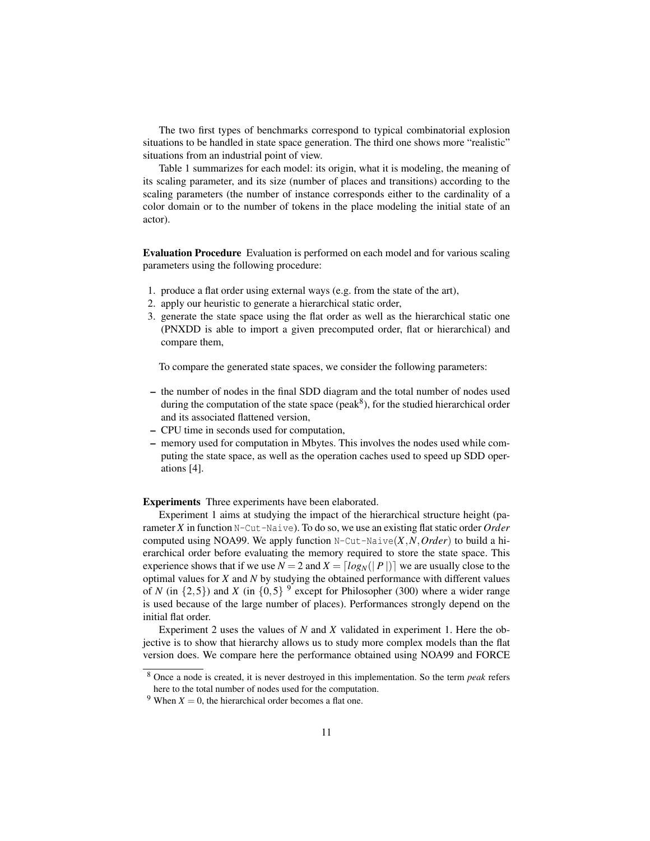The two first types of benchmarks correspond to typical combinatorial explosion situations to be handled in state space generation. The third one shows more "realistic" situations from an industrial point of view.

Table 1 summarizes for each model: its origin, what it is modeling, the meaning of its scaling parameter, and its size (number of places and transitions) according to the scaling parameters (the number of instance corresponds either to the cardinality of a color domain or to the number of tokens in the place modeling the initial state of an actor).

Evaluation Procedure Evaluation is performed on each model and for various scaling parameters using the following procedure:

- 1. produce a flat order using external ways (e.g. from the state of the art),
- 2. apply our heuristic to generate a hierarchical static order,
- 3. generate the state space using the flat order as well as the hierarchical static one (PNXDD is able to import a given precomputed order, flat or hierarchical) and compare them,

To compare the generated state spaces, we consider the following parameters:

- the number of nodes in the final SDD diagram and the total number of nodes used during the computation of the state space (peak<sup>8</sup>), for the studied hierarchical order and its associated flattened version,
- CPU time in seconds used for computation,
- memory used for computation in Mbytes. This involves the nodes used while computing the state space, as well as the operation caches used to speed up SDD operations [4].

Experiments Three experiments have been elaborated.

Experiment 1 aims at studying the impact of the hierarchical structure height (parameter *X* in function N-Cut-Naive). To do so, we use an existing flat static order *Order* computed using NOA99. We apply function  $N$ -Cut-Naive $(X, N, Order)$  to build a hierarchical order before evaluating the memory required to store the state space. This experience shows that if we use  $N = 2$  and  $X = \lfloor log_N(\lfloor P \rfloor) \rfloor$  we are usually close to the optimal values for *X* and *N* by studying the obtained performance with different values of *N* (in  $\{2, 5\}$ ) and *X* (in  $\{0, 5\}$ <sup>9</sup> except for Philosopher (300) where a wider range is used because of the large number of places). Performances strongly depend on the initial flat order.

Experiment 2 uses the values of *N* and *X* validated in experiment 1. Here the objective is to show that hierarchy allows us to study more complex models than the flat version does. We compare here the performance obtained using NOA99 and FORCE

<sup>8</sup> Once a node is created, it is never destroyed in this implementation. So the term *peak* refers here to the total number of nodes used for the computation.

<sup>&</sup>lt;sup>9</sup> When  $X = 0$ , the hierarchical order becomes a flat one.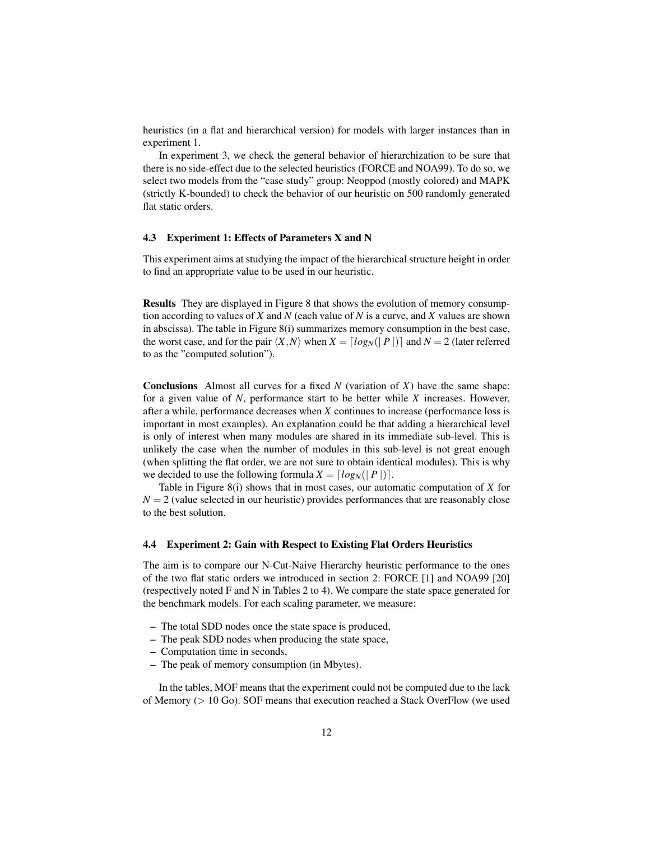heuristics (in a flat and hierarchical version) for models with larger instances than in experiment 1.

In experiment 3, we check the general behavior of hierarchization to be sure that there is no side-effect due to the selected heuristics (FORCE and NOA99). To do so, we select two models from the "case study" group: Neoppod (mostly colored) and MAPK (strictly K-bounded) to check the behavior of our heuristic on 500 randomly generated flat static orders.

### 4.3 Experiment 1: Effects of Parameters X and N

This experiment aims at studying the impact of the hierarchical structure height in order to find an appropriate value to be used in our heuristic.

Results They are displayed in Figure 8 that shows the evolution of memory consumption according to values of *X* and *N* (each value of *N* is a curve, and *X* values are shown in abscissa). The table in Figure 8(i) summarizes memory consumption in the best case, the worst case, and for the pair  $\langle X, N \rangle$  when  $X = \lfloor log_N(\lfloor P \rfloor) \rfloor$  and  $N = 2$  (later referred to as the "computed solution").

Conclusions Almost all curves for a fixed *N* (variation of *X*) have the same shape: for a given value of *N*, performance start to be better while *X* increases. However, after a while, performance decreases when *X* continues to increase (performance loss is important in most examples). An explanation could be that adding a hierarchical level is only of interest when many modules are shared in its immediate sub-level. This is unlikely the case when the number of modules in this sub-level is not great enough (when splitting the flat order, we are not sure to obtain identical modules). This is why we decided to use the following formula  $X = \lfloor log_N(|P|) \rfloor$ .

Table in Figure 8(i) shows that in most cases, our automatic computation of *X* for  $N = 2$  (value selected in our heuristic) provides performances that are reasonably close to the best solution.

#### 4.4 Experiment 2: Gain with Respect to Existing Flat Orders Heuristics

The aim is to compare our N-Cut-Naive Hierarchy heuristic performance to the ones of the two flat static orders we introduced in section 2: FORCE [1] and NOA99 [20] (respectively noted F and N in Tables 2 to 4). We compare the state space generated for the benchmark models. For each scaling parameter, we measure:

- The total SDD nodes once the state space is produced,
- The peak SDD nodes when producing the state space,
- Computation time in seconds,
- The peak of memory consumption (in Mbytes).

In the tables, MOF means that the experiment could not be computed due to the lack of Memory (> 10 Go). SOF means that execution reached a Stack OverFlow (we used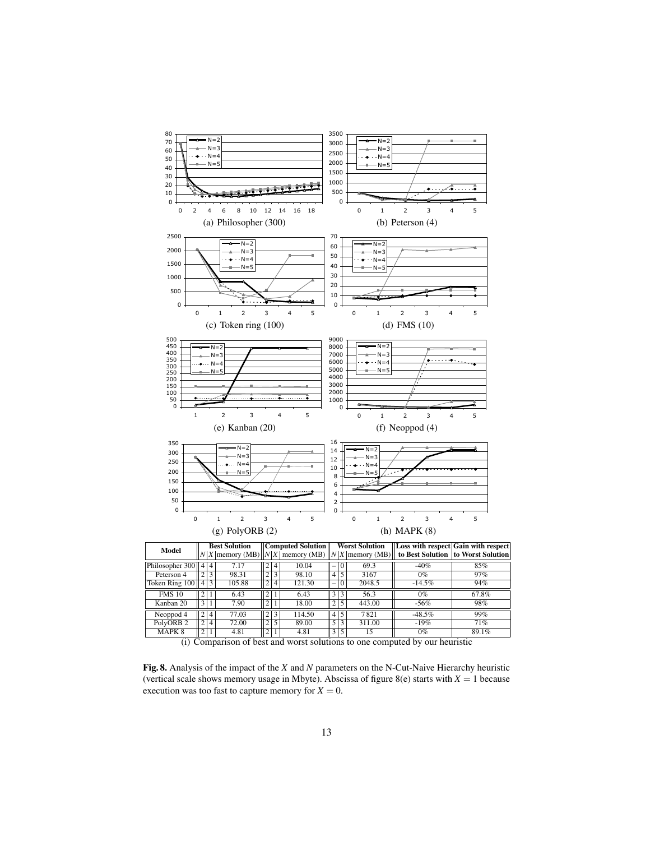

| моает                   |                   |                |        |                    |        |                                      |    |        |          | $N X $ memory (MB) $N X $ memory (MB) $N X $ memory (MB) to Best Solution to Worst Solution |
|-------------------------|-------------------|----------------|--------|--------------------|--------|--------------------------------------|----|--------|----------|---------------------------------------------------------------------------------------------|
| Philosopher $300  4  4$ |                   |                | 7.17   | $\left 2\right $ 4 | 10.04  | $\overline{\phantom{0}}$             | 10 | 69.3   | $-40%$   | 85%                                                                                         |
| Peterson 4              | $\vert 2 \vert 3$ |                | 98.31  | 2 3                | 98.10  | 4 5                                  |    | 3167   | $0\%$    | 97%                                                                                         |
| Token Ring $100  4 3$   |                   |                | 105.88 | $\sqrt{2 4}$       | 121.30 |                                      | 10 | 2048.5 | $-14.5%$ | 94%                                                                                         |
| <b>FMS 10</b>           |                   |                | 6.43   |                    | 6.43   | 3 3                                  |    | 56.3   | $0\%$    | 67.8%                                                                                       |
| Kanban 20               |                   |                | 7.90   | 2                  | 18.00  | $\begin{array}{c} 2 & 5 \end{array}$ |    | 443.00 | $-56%$   | 98%                                                                                         |
| Neoppod 4               |                   | $\overline{4}$ | 77.03  | 2 3                | 114.50 | 4 5                                  |    | 7821   | $-48.5%$ | 99%                                                                                         |
| PolyORB <sub>2</sub>    |                   | <b>4</b>       | 72.00  | $12\sqrt{5}$       | 89.00  | 513                                  |    | 311.00 | $-19%$   | 71%                                                                                         |
| MAPK <sub>8</sub>       | $\gamma$          |                | 4.81   | $\overline{2}$     | 4.81   | 3 5                                  |    | 15     | $0\%$    | 89.1%                                                                                       |

 $\sqrt{ }$ 

(i) Comparison of best and worst solutions to one computed by our heuristic

Fig. 8. Analysis of the impact of the *X* and *N* parameters on the N-Cut-Naive Hierarchy heuristic (vertical scale shows memory usage in Mbyte). Abscissa of figure  $8(e)$  starts with  $X = 1$  because execution was too fast to capture memory for  $X = 0$ .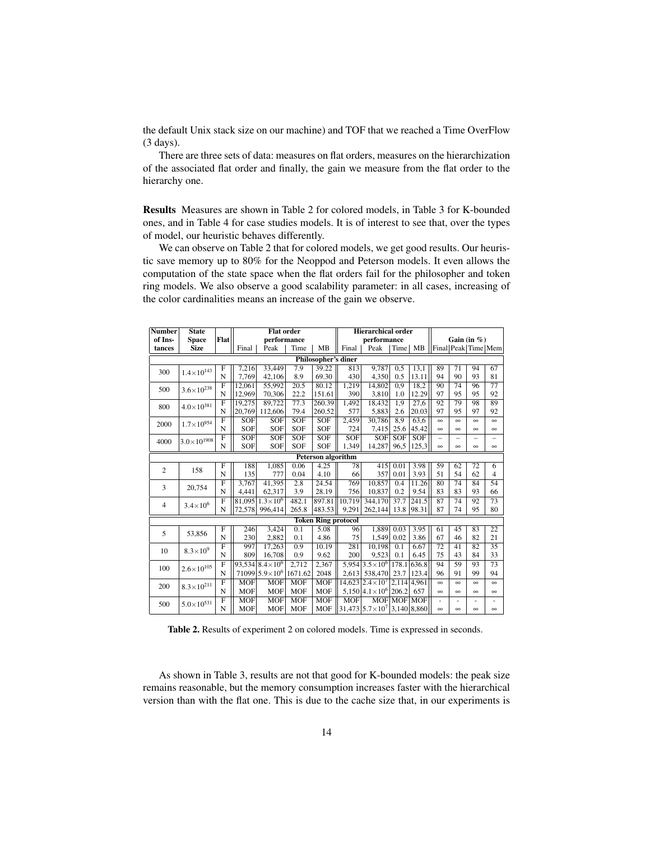the default Unix stack size on our machine) and TOF that we reached a Time OverFlow (3 days).

There are three sets of data: measures on flat orders, measures on the hierarchization of the associated flat order and finally, the gain we measure from the flat order to the hierarchy one.

Results Measures are shown in Table 2 for colored models, in Table 3 for K-bounded ones, and in Table 4 for case studies models. It is of interest to see that, over the types of model, our heuristic behaves differently.

We can observe on Table 2 that for colored models, we get good results. Our heuristic save memory up to 80% for the Neoppod and Peterson models. It even allows the computation of the state space when the flat orders fail for the philosopher and token ring models. We also observe a good scalability parameter: in all cases, increasing of the color cardinalities means an increase of the gain we observe.

| <b>Number</b>             | <b>State</b>           |                         |            | <b>Flat order</b>          |                   |                            | <b>Hierarchical order</b> |                                     |             |             |                          |          |                     |                 |  |  |
|---------------------------|------------------------|-------------------------|------------|----------------------------|-------------------|----------------------------|---------------------------|-------------------------------------|-------------|-------------|--------------------------|----------|---------------------|-----------------|--|--|
| of Ins-                   | <b>Space</b>           | Flat                    |            | performance                |                   |                            |                           | performance                         |             |             |                          |          | Gain (in $%$ )      |                 |  |  |
| tances                    | <b>Size</b>            |                         | Final      | Peak                       | Time              | MB                         | Final                     | Peak                                |             | Time   MB   |                          |          | Final Peak Time Mem |                 |  |  |
|                           |                        |                         |            |                            |                   | Philosopher's diner        |                           |                                     |             |             |                          |          |                     |                 |  |  |
| 300                       | $1.4{\times}10^{143}$  | F                       | 7,216      | 33,449                     | 7.9               | 39.22                      | 813                       | 9,787                               | 0,5         | 13.1        | 89                       | 71       | 94                  | 67              |  |  |
|                           |                        | N                       | 7,769      | 42.106                     | 8.9               | 69.30                      | 430                       | 4,350                               | 0.5         | 13.11       | 94                       | 90       | 93                  | 81              |  |  |
| 500                       | $3.6\times10^{238}$    | F                       | 12.061     | 55,992                     | $\overline{20.5}$ | 80.12                      | 1,219                     | 14.802                              | 0.9         | 18.2        | 90                       | 74       | 96                  | $\overline{77}$ |  |  |
|                           |                        | N                       | 12,969     | 70,306                     | 22.2              | 151.61                     | 390                       | 3,810                               | 1.0         | 12.29       | 97                       | 95       | 95                  | 92              |  |  |
| 800                       | $4.0\times10^{381}$    | $_{\rm F}$              | 19,275     | 89,722                     | 77.3              | 260.39                     | 1,492                     | 18,432                              | 1,9         | 27,6        | 92                       | 79       | 98                  | 89              |  |  |
|                           |                        | N                       | 20,769     | 112,606                    | 79.4              | 260.52                     | 577                       | 5,883                               | 2.6         | 20.03       | 97                       | 95       | 97                  | 92              |  |  |
| 2000                      | $1.7{\times}10^{954}$  | F                       | <b>SOF</b> | SOF                        | SOF               | <b>SOF</b>                 | 2,459                     | 30.786                              | 8.9         | 63.6        | $\infty$                 | $\infty$ | $\infty$            | $\infty$        |  |  |
|                           |                        | N                       | SOF        | <b>SOF</b>                 | <b>SOF</b>        | <b>SOF</b>                 | 724                       | 7,415                               | 25.6        | 45.42       | $\infty$                 | $\infty$ | $\infty$            | $\infty$        |  |  |
| 4000                      | $3.0 \times 10^{1908}$ | $\overline{\mathrm{F}}$ | SOF        | SOF                        | SOF               | <b>SOF</b>                 | SOF                       | SOF                                 | <b>SOF</b>  | SOF         | $\overline{\phantom{0}}$ |          |                     |                 |  |  |
|                           |                        | N                       | SOF        | <b>SOF</b>                 | <b>SOF</b>        | SOF                        | 1,349                     | 14,287                              | 96.5        | 125,3       | $\infty$                 | $\infty$ | $\infty$            | $\infty$        |  |  |
| <b>Peterson algorithm</b> |                        |                         |            |                            |                   |                            |                           |                                     |             |             |                          |          |                     |                 |  |  |
| $\overline{c}$            | 158                    | F                       | 188        | 1,085                      | 0.06              | 4.25                       | 78                        | $41\overline{5}$                    | 0.01        | 3.98        | 59                       | 62       | 72                  | 6               |  |  |
|                           |                        | $\mathbf N$             | 135        | 777                        | 0.04              | 4.10                       | 66                        | 357                                 | 0.01        | 3.93        | 51                       | 54       | 62                  | $\overline{4}$  |  |  |
| 3                         |                        | $\overline{\mathrm{F}}$ | 3,767      | 41,395                     | 2.8               | 24.54                      | 769                       | 10,857                              | 0.4         | 11.26       | 80                       | 74       | 84                  | 54              |  |  |
|                           | 20,754                 | N                       | 4,441      | 62,317                     | 3.9               | 28.19                      | 756                       | 10,837                              | 0.2         | 9.54        | 83                       | 83       | 93                  | 66              |  |  |
| $\overline{4}$            |                        | F                       | 81,095     | $1.3 \times 10^{6}$        | 482.1             | 897.81                     | 10.719                    | 344,170                             | 37.7        | 241.5       | 87                       | 74       | 92                  | 73              |  |  |
|                           | $3.4 \times 10^{6}$    | N                       | 72,578     | 996,414                    | 265.8             | 483.53                     | 9,291                     | 262,144                             | 13.8        | 98.31       | 87                       | 74       | 95                  | 80              |  |  |
|                           |                        |                         |            |                            |                   | <b>Token Ring protocol</b> |                           |                                     |             |             |                          |          |                     |                 |  |  |
| 5                         | 53,856                 | $\mathbf{F}$            | 246        | 3,424                      | 0.1               | 5.08                       | 96                        | 1,889                               | 0.03        | 3.95        | 61                       | 45       | 83                  | 22              |  |  |
|                           |                        | $\mathbf N$             | 230        | 2,882                      | 0.1               | 4.86                       | 75                        | 1.549                               | 0.02        | 3.86        | 67                       | 46       | 82                  | 21              |  |  |
| 10                        | $8.3 \times 10^{9}$    | $_{\rm F}$              | 997        | 17,263                     | 0.9               | 10.19                      | 281                       | 10,198                              | 0.1         | 6.67        | 72                       | 41       | 82                  | $\overline{35}$ |  |  |
|                           |                        | N                       | 809        | 16.708                     | 0.9               | 9.62                       | 200                       | 9,523                               | 0.1         | 6.45        | 75                       | 43       | 84                  | 33              |  |  |
| 100                       | $2.6{\times}10^{105}$  | F                       |            | $93,534$ $8.4 \times 10^6$ | 2.712             | 2,367                      |                           | $5.954 3.5\times10^{6}$             | 178.1       | 636.8       | 94                       | 59       | 93                  | 73              |  |  |
|                           |                        | N                       | 71099      | $5.9\times10^{6}$          | 1671.62           | 2048                       |                           | 2,613 538,470                       | 23.7        | 123.4       | 96                       | 91       | 99                  | 94              |  |  |
| 200                       | $8.3 \times 10^{211}$  | $\overline{F}$          | MOF        | <b>MOF</b>                 | MOF               | MOF                        |                           | $14.623 \, 2.4 \times 10^7$         |             | 2.114 4.961 | $\infty$                 | $\infty$ | $\infty$            | $\infty$        |  |  |
|                           |                        | N                       | <b>MOF</b> | <b>MOF</b>                 | <b>MOF</b>        | <b>MOF</b>                 |                           | $5,150$   $4.1 \times 10^6$  206.2  |             | 657         | $\infty$                 | $\infty$ | $\infty$            | $\infty$        |  |  |
| 500                       | $5.0{\times}10^{531}$  | F                       | <b>MOF</b> | <b>MOF</b>                 | <b>MOF</b>        | MOF                        | <b>MOF</b>                |                                     | MOF MOF MOF |             | $\bar{a}$                |          |                     |                 |  |  |
|                           |                        | N                       | <b>MOF</b> | <b>MOF</b>                 | <b>MOF</b>        | <b>MOF</b>                 |                           | $ 31,473 5.7\times10^7 3,140 8,860$ |             |             | $\infty$                 | $\infty$ | $\infty$            | $\infty$        |  |  |

Table 2. Results of experiment 2 on colored models. Time is expressed in seconds.

As shown in Table 3, results are not that good for K-bounded models: the peak size remains reasonable, but the memory consumption increases faster with the hierarchical version than with the flat one. This is due to the cache size that, in our experiments is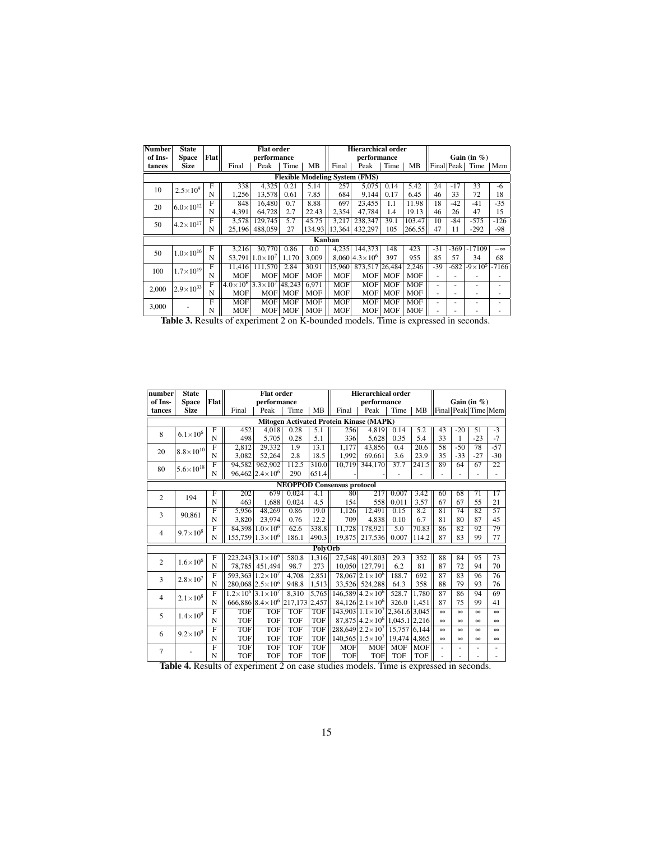|               | <b>Hierarchical order</b><br><b>Flat order</b> |              |                                      |                   |            |            |            |                               |            |            |       |            |                          |           |
|---------------|------------------------------------------------|--------------|--------------------------------------|-------------------|------------|------------|------------|-------------------------------|------------|------------|-------|------------|--------------------------|-----------|
| <b>Number</b> | <b>State</b>                                   |              |                                      |                   |            |            |            |                               |            |            |       |            |                          |           |
| of Ins-       | <b>Space</b>                                   | Flat         |                                      | performance       |            |            |            | Gain (in $\%$ )               |            |            |       |            |                          |           |
| tances        | <b>Size</b>                                    |              | Final                                | Peak              | Time       | MB         | Final      | Peak                          | Time       | MВ         |       | Final Peak | Time                     | Mem       |
|               | <b>Flexible Modeling System (FMS)</b>          |              |                                      |                   |            |            |            |                               |            |            |       |            |                          |           |
|               | $2.5 \times 10^{9}$                            | F            | 338                                  | 4,325             | 0.21       | 5.14       | 257        | 5,075                         | 0.14       | 5.42       | 24    | $-17$      | 33                       | -6        |
| 10            |                                                | N            | 1,256                                | 13.578            | 0.61       | 7.85       | 684        | 9.144                         | 0.17       | 6.45       | 46    | 33         | 72                       | 18        |
| 20            | $6.0\times10^{12}$                             | $\mathbf{F}$ | 848                                  | 16.480            | 0.7        | 8.88       | 697        | 23,455                        | 1.1        | 11.98      | 18    | $-42$      | $-41$                    | $-35$     |
|               |                                                | N            | 4,391                                | 64,728            | 2.7        | 22.43      | 2,354      | 47.784                        | 1.4        | 19.13      | 46    | 26         | 47                       | 15        |
| 50            | F                                              | 3.578        | 129,745                              | 5.7               | 45.75      | 3.217      | 238,347    | 39.1                          | 103.47     | 10         | $-84$ | $-575$     | $-126$                   |           |
|               | $4.2 \times 10^{17}$                           | N            | 25,196                               | 488.059           | 27         | 134.93     | 13,364     | 432,297                       | 105        | 266.55     | 47    | 11         | $-292$                   | $-98$     |
|               |                                                |              |                                      |                   |            |            | Kanban     |                               |            |            |       |            |                          |           |
| 50            | $1.0\times10^{16}$                             | F            | 3,216                                | 30,770            | 0.86       | 0.0        | 4,235      | 144,373                       | 148        | 423        | $-31$ | $-369$     | $-17109$                 | $-\infty$ |
|               |                                                | N            | 53.7911                              | $1.0\times10^{7}$ | 1,170      | 3,009      |            | $8,060$   $4.3 \times 10^{6}$ | 397        | 955        | 85    | 57         | 34                       | 68        |
|               | $1.7\times10^{19}$                             | F            | 11.416                               | 111.570           | 2.84       | 30.91      | 15.960     | 873.517 26.484                |            | 2,246      | $-39$ | $-682$     | $-9 \times 10^{5}$       | $-7166$   |
| 100           |                                                | N            | MOF                                  | <b>MOF</b>        | <b>MOF</b> | <b>MOF</b> | <b>MOF</b> | MOF                           | <b>MOF</b> | MOF        | ٠     |            |                          |           |
|               | $12.9\times10^{33}$                            | F            | $4.0\times10^{6}$ 3.3 $\times10^{7}$ |                   | 48.243     | 6.971      | <b>MOF</b> | MOF                           | <b>MOF</b> | <b>MOF</b> | ۰     |            |                          |           |
| 2,000         |                                                | N            | <b>MOF</b>                           | <b>MOF</b>        | <b>MOF</b> | <b>MOF</b> | <b>MOF</b> | <b>MOF</b>                    | <b>MOF</b> | <b>MOF</b> | ٠     |            | $\overline{\phantom{a}}$ |           |
|               |                                                | $_{\rm F}$   | <b>MOF</b>                           | <b>MOF</b>        | MOF        | <b>MOF</b> | <b>MOF</b> | MOF                           | <b>MOF</b> | <b>MOF</b> | ۰     |            | $\overline{\phantom{a}}$ |           |
| 3,000         |                                                | N            | <b>MOF</b>                           | MOF               | <b>MOF</b> | <b>MOF</b> | <b>MOF</b> | MOF                           | <b>MOF</b> | <b>MOF</b> |       |            |                          |           |

Table 3. Results of experiment 2 on K-bounded models. Time is expressed in seconds.

| number                            | <b>State</b>             |                         |                                       | <b>Flat order</b>                   |            |            | <b>Hierarchical order</b> |                                                |                 |            |          |          |                     |                 |
|-----------------------------------|--------------------------|-------------------------|---------------------------------------|-------------------------------------|------------|------------|---------------------------|------------------------------------------------|-----------------|------------|----------|----------|---------------------|-----------------|
| of Ins-                           | <b>Space</b>             | Flat                    |                                       | performance                         |            |            |                           | performance                                    |                 |            |          |          | Gain (in $\%$ )     |                 |
| tances                            | <b>Size</b>              |                         | Final                                 | Peak                                | Time       | <b>MB</b>  | Final                     | Peak                                           | Time            | МB         |          |          | Final Peak Time Mem |                 |
|                                   |                          |                         |                                       |                                     |            |            |                           | <b>Mitogen Activated Protein Kinase (MAPK)</b> |                 |            |          |          |                     |                 |
| 8                                 |                          | F                       | 452                                   | 4.018                               | 0.28       | 5.1        | 256                       | 4.819                                          | 0.14            | 5.2        | 43       | $-20$    | 51                  | $-3$            |
|                                   | $6.1 \times 10^{6}$      | N                       | 498                                   | 5.705                               | 0.28       | 5.1        | 336                       | 5,628                                          | 0.35            | 5.4        | 33       | 1        | $-23$               | $-7$            |
| 20                                | $8.8 \times 10^{10}$     | $_{\rm F}$              | 2,812                                 | 29.332                              | 1.9        | 13.1       | 1.177                     | 43,856                                         | 0.4             | 20.6       | 58       | $-50$    | 78                  | $-57$           |
|                                   |                          | N                       | 3.082                                 | 52,264                              | 2.8        | 18.5       | 1.992                     | 69.661                                         | 3.6             | 23.9       | 35       | $-33$    | $-27$               | $-30$           |
| 80                                | $5.6{\times}10^{18}$     | F                       | 94.582                                | 962,902                             | 112.5      | 310.0      | 10.719                    | 344,170                                        | 37.7            | 241.5      | 89       | 64       | 67                  | 22              |
|                                   |                          | N                       |                                       | $96.462\,2.4\times10^6$             | 290        | 651.4      |                           |                                                |                 |            |          |          |                     |                 |
| <b>NEOPPOD Consensus protocol</b> |                          |                         |                                       |                                     |            |            |                           |                                                |                 |            |          |          |                     |                 |
| $\overline{2}$                    | 194                      | $\overline{F}$          | 202                                   | 679                                 | 0.024      | 4.1        | 80                        | 217                                            | 0.007           | 3.42       | 60       | 68       | 71                  | 17              |
|                                   | N                        | 463                     | 1.688                                 | 0.024                               | 4.5        | 154        | 558                       | 0.011                                          | 3.57            | 67         | 67       | 55       | 21                  |                 |
| 3                                 | 90.861                   | $\overline{F}$          | 5.956                                 | 48.269                              | 0.86       | 19.0       | 1,126                     | 12.491                                         | 0.15            | 8.2        | 81       | 74       | 82                  | 57              |
|                                   |                          | N                       | 3,820                                 | 23,974                              | 0.76       | 12.2       | 709                       | 4,838                                          | 0.10            | 6.7        | 81       | 80       | 87                  | 45              |
| $\overline{4}$                    | $9.7 \times 10^{8}$      | $\overline{F}$          | 84.398                                | $1.0\times10^{6}$                   | 62.6       | 338.8      | 11.728                    | 178,921                                        | 5.0             | 70.83      | 86       | 82       | 92                  | 79              |
|                                   |                          | N                       |                                       | $155.759$ $1.3 \times 10^6$         | 186.1      | 490.3      | 19,875                    | 217.536                                        | 0.007           | 114.2      | 87       | 83       | 99                  | 77              |
|                                   |                          |                         |                                       |                                     |            | PolyOrb    |                           |                                                |                 |            |          |          |                     |                 |
| $\overline{2}$                    | $1.6 \times 10^{6}$      | F                       |                                       | $223.243\,3.1\times10^6$            | 580.8      | 1,316      | 27.548                    | 491.803                                        | 29.3            | 352        | 88       | 84       | 95                  | $\overline{73}$ |
|                                   |                          | N                       | 78,785                                | 451,494                             | 98.7       | 273        |                           | 10,050 127,791                                 | 6.2             | 81         | 87       | 72       | 94                  | 70              |
| 3                                 | $2.8 \times 10^{7}$      | F                       |                                       | $593.363 \mid 1.2 \times 10^7$      | 4.708      | 2.851      |                           | $78.067$   $2.1\times10^{6}$                   | 188.7           | 692        | 87       | 83       | 96                  | 76              |
|                                   |                          | N                       |                                       | $280.068$ $2.5 \times 10^6$         | 948.8      | 1,513      |                           | 33,526 524,288                                 | 64.3            | 358        | 88       | 79       | 93                  | 76              |
| $\overline{4}$                    | $2.1 \times 10^{8}$      | $\overline{F}$          | $1.2\times10^{6}$ 3.1×10 <sup>7</sup> |                                     | 8.310      | 5.765      |                           | $146.589 \mid 4.2 \times 10^6$                 | 528.7           | 1.780      | 87       | 86       | 94                  | 69              |
|                                   |                          | N                       |                                       | 666,886 8.4×10 <sup>6</sup> 217,173 |            | 2,457      |                           | $84,126$   $2.1 \times 10^6$                   | 326.0           | 1.451      | 87       | 75       | 99                  | 41              |
|                                   | $1.4 \times 10^{9}$<br>5 | $\overline{F}$          | <b>TOF</b>                            | <b>TOF</b>                          | <b>TOF</b> | <b>TOF</b> |                           | $143.903 \mid 1.1 \times 10^7$                 | 2,361.6 3,045   |            | $\infty$ | $\infty$ | $\infty$            | $\infty$        |
|                                   |                          | N                       | <b>TOF</b>                            | <b>TOF</b>                          | <b>TOF</b> | <b>TOF</b> |                           | $87,875$ 4.2 $\times$ 10 <sup>6</sup>          | $1.045.1$ 2.216 |            | $\infty$ | $\infty$ | $\infty$            | $\infty$        |
| 6                                 |                          | $\mathbf{F}$            | <b>TOF</b>                            | <b>TOF</b>                          | <b>TOF</b> | <b>TOF</b> |                           | $288,649$ $2.2 \times 10^7$                    | 15.757          | 6.144      | $\infty$ | $\infty$ | $\infty$            | $\infty$        |
|                                   | $9.2 \times 10^{9}$      | N                       | <b>TOF</b>                            | <b>TOF</b>                          | <b>TOF</b> | <b>TOF</b> |                           | $140,565$   $1.5 \times 10^7$                  | 19,474          | 4.865      | $\infty$ | $\infty$ | $\infty$            | $\infty$        |
| $\overline{7}$                    |                          | $\overline{\mathrm{F}}$ | <b>TOF</b>                            | <b>TOF</b>                          | <b>TOF</b> | <b>TOF</b> | <b>MOF</b>                | <b>MOF</b>                                     | <b>MOF</b>      | <b>MOF</b> |          |          |                     |                 |
|                                   |                          | N                       | <b>TOF</b>                            | TOF                                 | <b>TOF</b> | <b>TOF</b> | <b>TOF</b>                | <b>TOF</b>                                     | <b>TOF</b>      | <b>TOF</b> |          |          |                     |                 |

Table 4. Results of experiment 2 on case studies models. Time is expressed in seconds.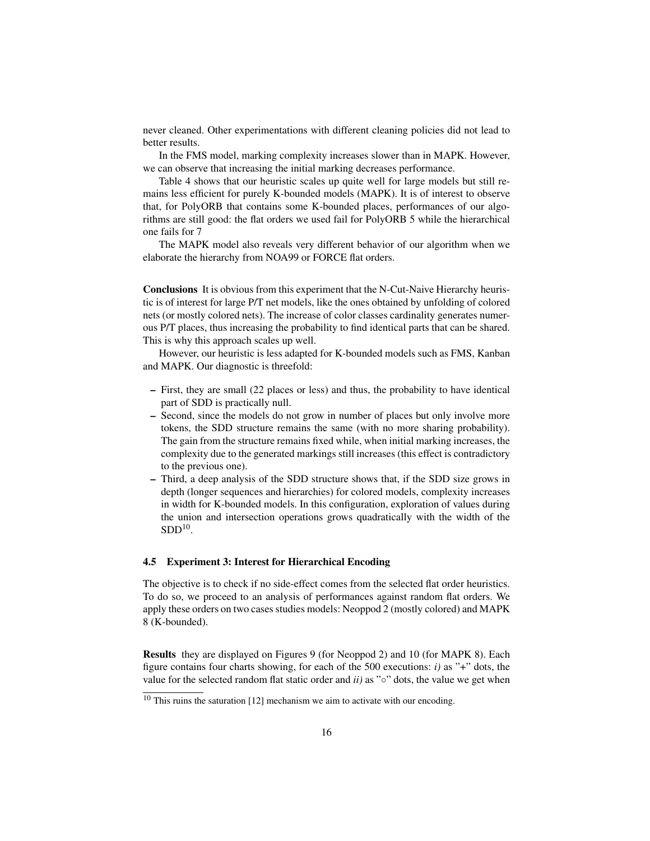never cleaned. Other experimentations with different cleaning policies did not lead to better results.

In the FMS model, marking complexity increases slower than in MAPK. However, we can observe that increasing the initial marking decreases performance.

Table 4 shows that our heuristic scales up quite well for large models but still remains less efficient for purely K-bounded models (MAPK). It is of interest to observe that, for PolyORB that contains some K-bounded places, performances of our algorithms are still good: the flat orders we used fail for PolyORB 5 while the hierarchical one fails for 7

The MAPK model also reveals very different behavior of our algorithm when we elaborate the hierarchy from NOA99 or FORCE flat orders.

Conclusions It is obvious from this experiment that the N-Cut-Naive Hierarchy heuristic is of interest for large P/T net models, like the ones obtained by unfolding of colored nets (or mostly colored nets). The increase of color classes cardinality generates numerous P/T places, thus increasing the probability to find identical parts that can be shared. This is why this approach scales up well.

However, our heuristic is less adapted for K-bounded models such as FMS, Kanban and MAPK. Our diagnostic is threefold:

- First, they are small (22 places or less) and thus, the probability to have identical part of SDD is practically null.
- Second, since the models do not grow in number of places but only involve more tokens, the SDD structure remains the same (with no more sharing probability). The gain from the structure remains fixed while, when initial marking increases, the complexity due to the generated markings still increases (this effect is contradictory to the previous one).
- Third, a deep analysis of the SDD structure shows that, if the SDD size grows in depth (longer sequences and hierarchies) for colored models, complexity increases in width for K-bounded models. In this configuration, exploration of values during the union and intersection operations grows quadratically with the width of the  $SDD<sup>10</sup>$ .

#### 4.5 Experiment 3: Interest for Hierarchical Encoding

The objective is to check if no side-effect comes from the selected flat order heuristics. To do so, we proceed to an analysis of performances against random flat orders. We apply these orders on two cases studies models: Neoppod 2 (mostly colored) and MAPK 8 (K-bounded).

Results they are displayed on Figures 9 (for Neoppod 2) and 10 (for MAPK 8). Each figure contains four charts showing, for each of the 500 executions: *i)* as "+" dots, the value for the selected random flat static order and  $ii$ ) as " $\circ$ " dots, the value we get when

 $10$  This ruins the saturation [12] mechanism we aim to activate with our encoding.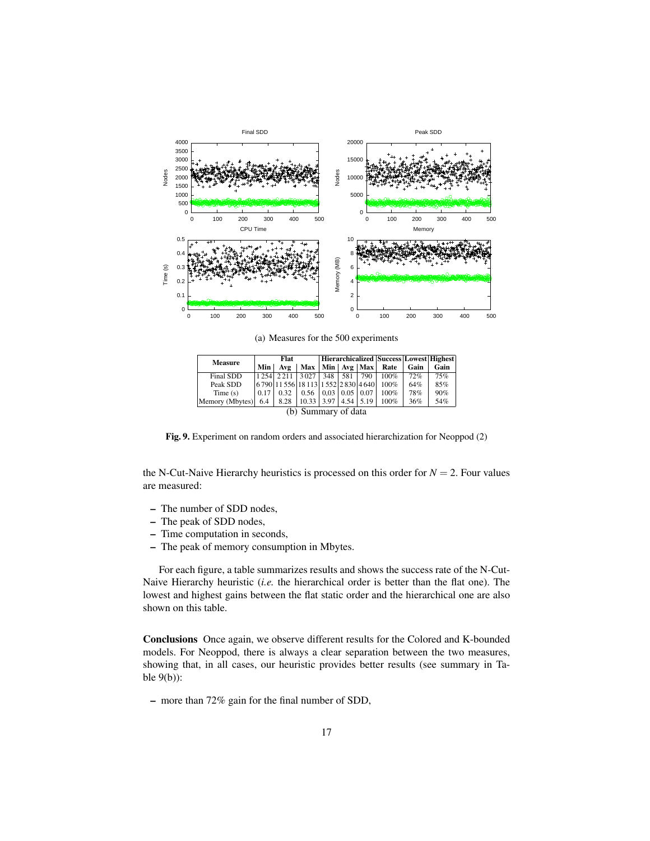

(a) Measures for the 500 experiments

| <b>Measure</b>  |                     | Flat        |                                                 |     |                            |     | Hierarchicalized Success Lowest Highest |      |      |  |  |
|-----------------|---------------------|-------------|-------------------------------------------------|-----|----------------------------|-----|-----------------------------------------|------|------|--|--|
|                 | Min                 | Avg         | Max                                             |     | Min   $Avg$   Max          |     | Rate                                    | Gain | Gain |  |  |
| Final SDD       |                     | $1254$ 2211 | 3027                                            | 348 | 581                        | 790 | 100%                                    | 72%  | 75%  |  |  |
| Peak SDD        |                     |             | 6 790   11 556   18 113   1 552   2 830   4 640 |     |                            |     | 100%                                    | 64%  | 85%  |  |  |
| Time $(s)$      | 0.17                | 0.32        | 0.56                                            |     | $0.03 \mid 0.05 \mid 0.07$ |     | 100%                                    | 78%  | 90%  |  |  |
| Memory (Mbytes) | 6.4                 | 8.28        | $10.33$   3.97   4.54   5.19                    |     |                            |     | 100%                                    | 36%  | 54%  |  |  |
|                 | (b) Summarv of data |             |                                                 |     |                            |     |                                         |      |      |  |  |

Fig. 9. Experiment on random orders and associated hierarchization for Neoppod (2)

the N-Cut-Naive Hierarchy heuristics is processed on this order for  $N = 2$ . Four values are measured:

- The number of SDD nodes,
- The peak of SDD nodes,
- Time computation in seconds,
- The peak of memory consumption in Mbytes.

For each figure, a table summarizes results and shows the success rate of the N-Cut-Naive Hierarchy heuristic (*i.e.* the hierarchical order is better than the flat one). The lowest and highest gains between the flat static order and the hierarchical one are also shown on this table.

Conclusions Once again, we observe different results for the Colored and K-bounded models. For Neoppod, there is always a clear separation between the two measures, showing that, in all cases, our heuristic provides better results (see summary in Table 9(b)):

– more than 72% gain for the final number of SDD,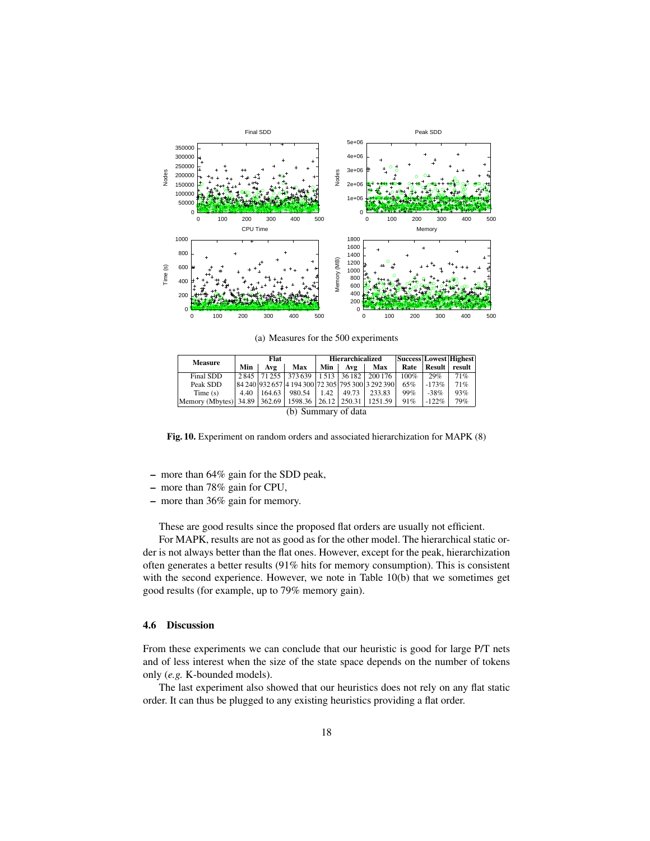

(a) Measures for the 500 experiments

| <b>Measure</b>                  |      | Flat   |                                                           |      | <b>Hierarchicalized</b> |         |      |         | Success Lowest Highest |
|---------------------------------|------|--------|-----------------------------------------------------------|------|-------------------------|---------|------|---------|------------------------|
|                                 | Min  | Avg    | Max                                                       | Min  | Avg                     | Max     | Rate | Result  | result                 |
| Final SDD                       |      |        | 2845   71 255   373 639   1513   36 182                   |      |                         | 200 176 | 100% | 29%     | 71%                    |
| Peak SDD                        |      |        | 84 240   932 657   4194 300   72 305   795 300   3292 390 |      |                         |         | 65%  | $-173%$ | 71%                    |
| Time(s)                         | 4.40 | 164.63 | 980.54                                                    | 1.42 | 49.73                   | 233.83  | 99%  | $-38%$  | 93%                    |
| Memory (Mbytes)  34.89   362.69 |      |        | 1598.36   26.12   250.31                                  |      |                         | 1251.59 | 91%  | $-122%$ | 79%                    |
|                                 |      |        | (b) Summary of data                                       |      |                         |         |      |         |                        |

Fig. 10. Experiment on random orders and associated hierarchization for MAPK (8)

- more than 64% gain for the SDD peak,
- more than 78% gain for CPU,
- more than 36% gain for memory.

These are good results since the proposed flat orders are usually not efficient.

For MAPK, results are not as good as for the other model. The hierarchical static order is not always better than the flat ones. However, except for the peak, hierarchization often generates a better results (91% hits for memory consumption). This is consistent with the second experience. However, we note in Table 10(b) that we sometimes get good results (for example, up to 79% memory gain).

# 4.6 Discussion

From these experiments we can conclude that our heuristic is good for large P/T nets and of less interest when the size of the state space depends on the number of tokens only (*e.g.* K-bounded models).

The last experiment also showed that our heuristics does not rely on any flat static order. It can thus be plugged to any existing heuristics providing a flat order.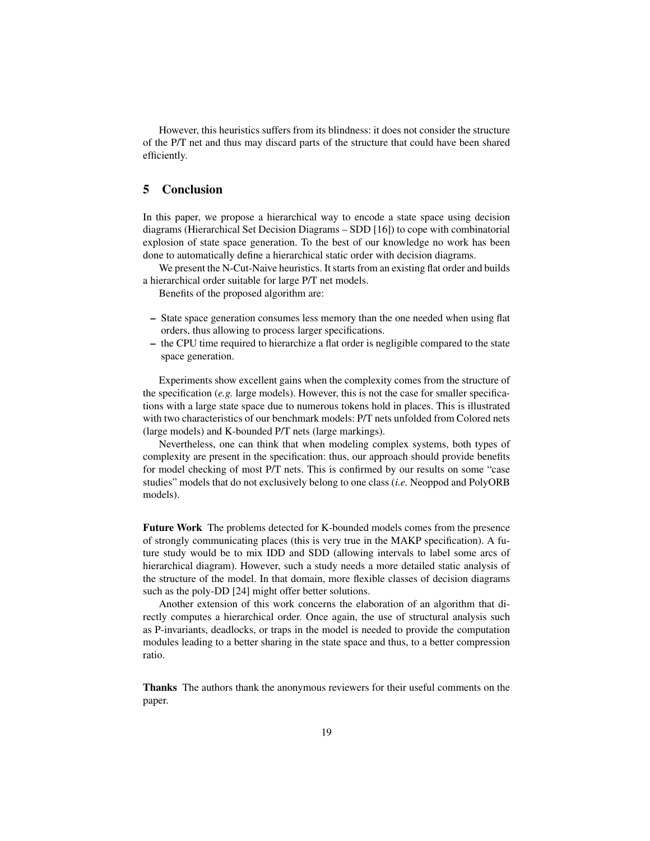However, this heuristics suffers from its blindness: it does not consider the structure of the P/T net and thus may discard parts of the structure that could have been shared efficiently.

# 5 Conclusion

In this paper, we propose a hierarchical way to encode a state space using decision diagrams (Hierarchical Set Decision Diagrams – SDD [16]) to cope with combinatorial explosion of state space generation. To the best of our knowledge no work has been done to automatically define a hierarchical static order with decision diagrams.

We present the N-Cut-Naive heuristics. It starts from an existing flat order and builds a hierarchical order suitable for large P/T net models.

Benefits of the proposed algorithm are:

- State space generation consumes less memory than the one needed when using flat orders, thus allowing to process larger specifications.
- the CPU time required to hierarchize a flat order is negligible compared to the state space generation.

Experiments show excellent gains when the complexity comes from the structure of the specification (*e.g.* large models). However, this is not the case for smaller specifications with a large state space due to numerous tokens hold in places. This is illustrated with two characteristics of our benchmark models: P/T nets unfolded from Colored nets (large models) and K-bounded P/T nets (large markings).

Nevertheless, one can think that when modeling complex systems, both types of complexity are present in the specification: thus, our approach should provide benefits for model checking of most P/T nets. This is confirmed by our results on some "case studies" models that do not exclusively belong to one class (*i.e.* Neoppod and PolyORB models).

Future Work The problems detected for K-bounded models comes from the presence of strongly communicating places (this is very true in the MAKP specification). A future study would be to mix IDD and SDD (allowing intervals to label some arcs of hierarchical diagram). However, such a study needs a more detailed static analysis of the structure of the model. In that domain, more flexible classes of decision diagrams such as the poly-DD [24] might offer better solutions.

Another extension of this work concerns the elaboration of an algorithm that directly computes a hierarchical order. Once again, the use of structural analysis such as P-invariants, deadlocks, or traps in the model is needed to provide the computation modules leading to a better sharing in the state space and thus, to a better compression ratio.

Thanks The authors thank the anonymous reviewers for their useful comments on the paper.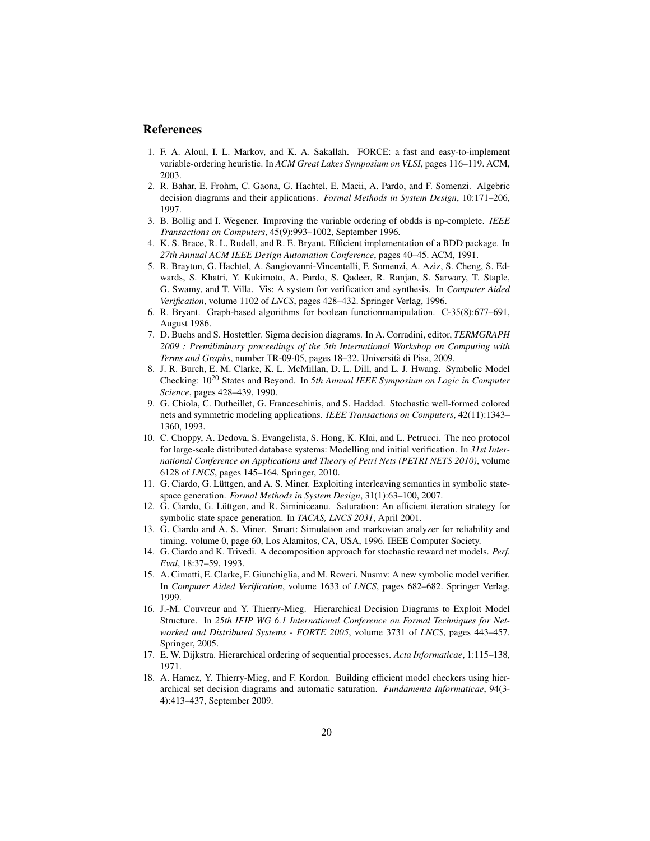### References

- 1. F. A. Aloul, I. L. Markov, and K. A. Sakallah. FORCE: a fast and easy-to-implement variable-ordering heuristic. In *ACM Great Lakes Symposium on VLSI*, pages 116–119. ACM, 2003.
- 2. R. Bahar, E. Frohm, C. Gaona, G. Hachtel, E. Macii, A. Pardo, and F. Somenzi. Algebric decision diagrams and their applications. *Formal Methods in System Design*, 10:171–206, 1997.
- 3. B. Bollig and I. Wegener. Improving the variable ordering of obdds is np-complete. *IEEE Transactions on Computers*, 45(9):993–1002, September 1996.
- 4. K. S. Brace, R. L. Rudell, and R. E. Bryant. Efficient implementation of a BDD package. In *27th Annual ACM IEEE Design Automation Conference*, pages 40–45. ACM, 1991.
- 5. R. Brayton, G. Hachtel, A. Sangiovanni-Vincentelli, F. Somenzi, A. Aziz, S. Cheng, S. Edwards, S. Khatri, Y. Kukimoto, A. Pardo, S. Qadeer, R. Ranjan, S. Sarwary, T. Staple, G. Swamy, and T. Villa. Vis: A system for verification and synthesis. In *Computer Aided Verification*, volume 1102 of *LNCS*, pages 428–432. Springer Verlag, 1996.
- 6. R. Bryant. Graph-based algorithms for boolean functionmanipulation. C-35(8):677–691, August 1986.
- 7. D. Buchs and S. Hostettler. Sigma decision diagrams. In A. Corradini, editor, *TERMGRAPH 2009 : Premiliminary proceedings of the 5th International Workshop on Computing with Terms and Graphs*, number TR-09-05, pages 18–32. Universita di Pisa, 2009. `
- 8. J. R. Burch, E. M. Clarke, K. L. McMillan, D. L. Dill, and L. J. Hwang. Symbolic Model Checking: 10<sup>20</sup> States and Beyond. In *5th Annual IEEE Symposium on Logic in Computer Science*, pages 428–439, 1990.
- 9. G. Chiola, C. Dutheillet, G. Franceschinis, and S. Haddad. Stochastic well-formed colored nets and symmetric modeling applications. *IEEE Transactions on Computers*, 42(11):1343– 1360, 1993.
- 10. C. Choppy, A. Dedova, S. Evangelista, S. Hong, K. Klai, and L. Petrucci. The neo protocol for large-scale distributed database systems: Modelling and initial verification. In *31st International Conference on Applications and Theory of Petri Nets (PETRI NETS 2010)*, volume 6128 of *LNCS*, pages 145–164. Springer, 2010.
- 11. G. Ciardo, G. Luttgen, and A. S. Miner. Exploiting interleaving semantics in symbolic state- ¨ space generation. *Formal Methods in System Design*, 31(1):63–100, 2007.
- 12. G. Ciardo, G. Lüttgen, and R. Siminiceanu. Saturation: An efficient iteration strategy for symbolic state space generation. In *TACAS, LNCS 2031*, April 2001.
- 13. G. Ciardo and A. S. Miner. Smart: Simulation and markovian analyzer for reliability and timing. volume 0, page 60, Los Alamitos, CA, USA, 1996. IEEE Computer Society.
- 14. G. Ciardo and K. Trivedi. A decomposition approach for stochastic reward net models. *Perf. Eval*, 18:37–59, 1993.
- 15. A. Cimatti, E. Clarke, F. Giunchiglia, and M. Roveri. Nusmv: A new symbolic model verifier. In *Computer Aided Verification*, volume 1633 of *LNCS*, pages 682–682. Springer Verlag, 1999.
- 16. J.-M. Couvreur and Y. Thierry-Mieg. Hierarchical Decision Diagrams to Exploit Model Structure. In *25th IFIP WG 6.1 International Conference on Formal Techniques for Networked and Distributed Systems - FORTE 2005*, volume 3731 of *LNCS*, pages 443–457. Springer, 2005.
- 17. E. W. Dijkstra. Hierarchical ordering of sequential processes. *Acta Informaticae*, 1:115–138, 1971.
- 18. A. Hamez, Y. Thierry-Mieg, and F. Kordon. Building efficient model checkers using hierarchical set decision diagrams and automatic saturation. *Fundamenta Informaticae*, 94(3- 4):413–437, September 2009.